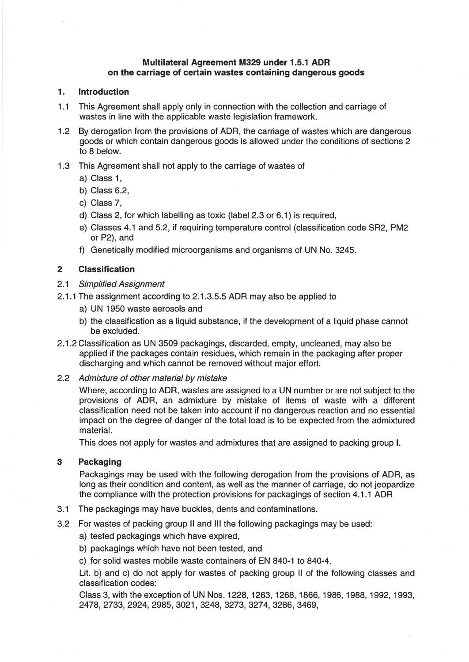# Multilateral Agreement M329 under 1.5.1 ADR on the carriage of certain wastes containing dangerous goods

## 1.Introduction

- 1 .1 This Agreement shall apply only in connection with the collection and carriage of wastes in line with the applicable waste legislation framework.
- 1 .2 By derogation from the provisions of ADR, the carriage of wastes which are dangerous goods or which contain dangerous goods is allowed under the conditions of sections 2 to 8 below.
- 1.3 This Agreement shall not apply to the carriage of wastes of
	- a) Class 1,
	- b) Class 6.2,
	- c) Class 7,
	- d) Ciass 2, for which labelling as toxic (label 2.3 or 6.1) is required,
	- e) Classes 4.1 and 5.2, if requiring temperature control (classification code SR2, PM2 or P2), and
	- f) Genetically modified microorganisms and organisms of UN No. 3245.

#### 2**Classification**

#### 2.1Simplified Assignment

- 2.1.1 The assignment according to 2.1.3.5.5 ADR may also be applied to
	- a) UN 1950 waste aerosols and
	- b) the ciassification as <sup>a</sup> liquid substance, if the development of <sup>a</sup> liquid phase cannot be excluded.
- 2.1.2 Classification as UN 3509 packagings, discarded, empty, uncleaned, may also be applied if the packages contain residues, which remain in the packaging after proper discharging and which cannot be removed without major effort.
- 2.2 Admixture of other material by mistake

Where, according to ADR, wastes are assigned to <sup>a</sup> UN number or are not subject to the provisions of ADR, an admixture by mistake of items of waste with <sup>a</sup> different classification need not be taken into account if no dangerous reaction and no essentia impact on the degree of danger of the total bad is to be expected from the admixtured material.

This does not apply for wastes and admixtures that are assigned to packing group 1.

# 3Packaging

Packagings may be used with the folbowing derogation from the provisions of ADR, as long as their condition and content, as weil as the manner of carriage, do not jeopardize the compliance with the protection provisions for packagings of section 4.1.1 ADR

- 3.1The packagings may have buckles, dents and contaminations.
- 3.2For wastes of packing group II and III the following packagings may be used:
	- a) tested packagings which have expired,
	- b) packagings which have not been tested, and
	- c) for solid wastes mobile waste containers of EN 840-1 to 840-4.

Lit. b) and c) do not apply for wastes of packing group II of the folbowing classes and classification codes:

Class 3, with the exception of UN Nos. 1228, 1263, 1268, 1866, 1986, 1988, 1992, 1993, 2478, 2733, 2924, 2985, 3021, 3248, 3273, 3274, 3286, 3469,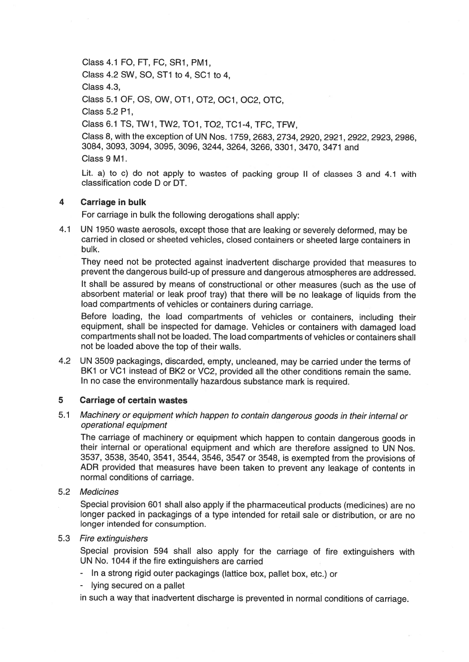Class 4.1 FO, FT, FC, SR1, PM1,

Class 4.2 SW, SO, ST1 to 4, SC1 to 4,

Class 4.3,

Class 5.1 OF, OS, OW, OT1, OT2, OC1, OC2, OTC

Class 5.2 P1,

Class 6.1 TS, TW1, TW2, TOl, T02, TC1-4, TFC, TFW,

Class 8, with the exception of UN Nos. 1759, 2683, 2734,2920,2921,2922,2923,2986, 3084, 3093, 3094, 3095, 3096, 3244, 3264, 3266, 3301, 3470, 3471 and Class 9 Ml.

Lit. a) to c) do not apply to wastes of packing group II of classes <sup>3</sup> and 4.1 with classification code D or DT.

### 4Carriage in bulk

For carriage in bulk the following derogations shall apply:

4.1 UN <sup>1950</sup> waste aerosols, excep<sup>t</sup> those that are leaking or severely deformed, may be carried in closed or sheeted vehicies, closed containers or sheeted large containers in bulk.

They need not be protected against inadvertent discharge provided that measures to preven<sup>t</sup> the dangerous build-up of pressure and dangerous atmospheres are addressed.

lt shall be assured by means of constructional or other measures (such as the use of absorbent material or leak proo<sup>f</sup> tray) that there will be no leakage of Iiquids from the bad compartments of vehicles or containers during carriage.

Before loading, the bad compartments of vehicles or containers, including their equipment, shall be inspected tor damage. Vehicies or containers with damaged bad compartments shall not be boaded. The bad compartments of vehicies or containers shall not be Ioaded above the top of their walls.

4.2 UN 3509 packagings, discarded, empty, uncleaned, may be carried under the terms ot BK1 or VC1 instead of BK2 or VC2, provided all the other conditions remain the same. In no case the environmentally hazardous substance mark is required.

### 5Carriage of certain wastes

5.1 Machinery or equipment which happen to contain dangerous goods in their internal or operational equipment

The carriage of machinery or equipment which happen to contain dangerous goods in their internal or operational equipment and which are therefore assigned to UN Nos. 3537, 3538, 3540, 3541, 3544, 3546, <sup>3547</sup> or 3548, is exempted from the provisions of ADR provided that measures have been taken to preven<sup>t</sup> any leakage ot contents in normal conditions of carriage.

# 5.2 Medicines

Special provision <sup>601</sup> shall also apply if the <sup>p</sup>harmaceutical products (medicines) are no bonger packed in packagings ot <sup>a</sup> type intended tor retail sale or distribution, or are no longer intended for consumption.

# 5.3 Fire extinguishers

Special provision 594 shall also apply for the carriage of fire extinguishers with UN No. 1044 if the fire extinguishers are carried

- In <sup>a</sup> strong rigid outer packagings (lattice box, pallet box, etc.) or
- lying secured on <sup>a</sup> pallet

in such a way that inadvertent discharge is prevented in normal conditions of carriage.